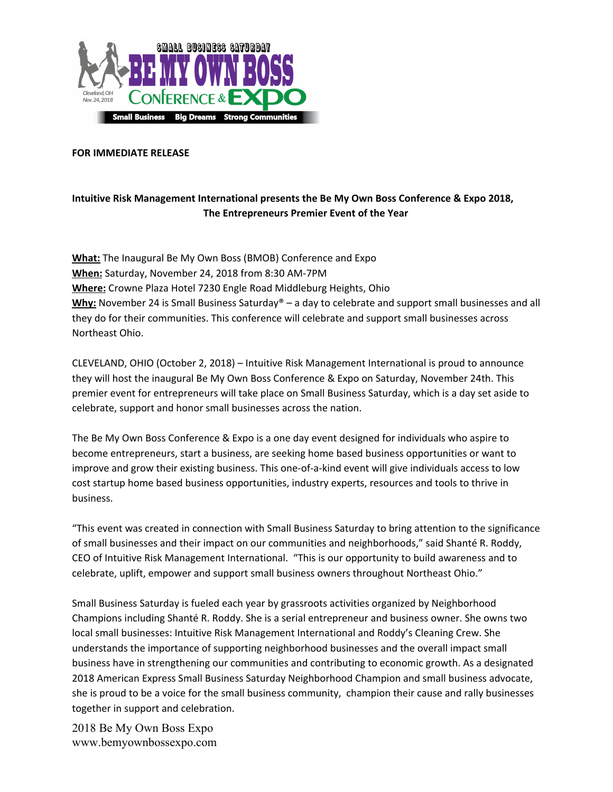

## **FOR IMMEDIATE RELEASE**

## **Intuitive Risk Management International presents the Be My Own Boss Conference & Expo 2018, The Entrepreneurs Premier Event of the Year**

**What:** The Inaugural Be My Own Boss (BMOB) Conference and Expo **When:** Saturday, November 24, 2018 from 8:30 AM-7PM **Where:** Crowne Plaza Hotel 7230 Engle Road Middleburg Heights, Ohio **Why:** November 24 is Small Business Saturday® – a day to celebrate and support small businesses and all they do for their communities. This conference will celebrate and support small businesses across Northeast Ohio.

CLEVELAND, OHIO (October 2, 2018) – Intuitive Risk Management International is proud to announce they will host the inaugural Be My Own Boss Conference & Expo on Saturday, November 24th. This premier event for entrepreneurs will take place on Small Business Saturday, which is a day set aside to celebrate, support and honor small businesses across the nation.

The Be My Own Boss Conference & Expo is a one day event designed for individuals who aspire to become entrepreneurs, start a business, are seeking home based business opportunities or want to improve and grow their existing business. This one-of-a-kind event will give individuals access to low cost startup home based business opportunities, industry experts, resources and tools to thrive in business.

"This event was created in connection with Small Business Saturday to bring attention to the significance of small businesses and their impact on our communities and neighborhoods," said Shanté R. Roddy, CEO of Intuitive Risk Management International. "This is our opportunity to build awareness and to celebrate, uplift, empower and support small business owners throughout Northeast Ohio."

Small Business Saturday is fueled each year by grassroots activities organized by Neighborhood Champions including Shanté R. Roddy. She is a serial entrepreneur and business owner. She owns two local small businesses: Intuitive Risk Management International and Roddy's Cleaning Crew. She understands the importance of supporting neighborhood businesses and the overall impact small business have in strengthening our communities and contributing to economic growth. As a designated 2018 American Express Small Business Saturday Neighborhood Champion and small business advocate, she is proud to be a voice for the small business community, champion their cause and rally businesses together in support and celebration.

2018 Be My Own Boss Expo www.bemyownbossexpo.com